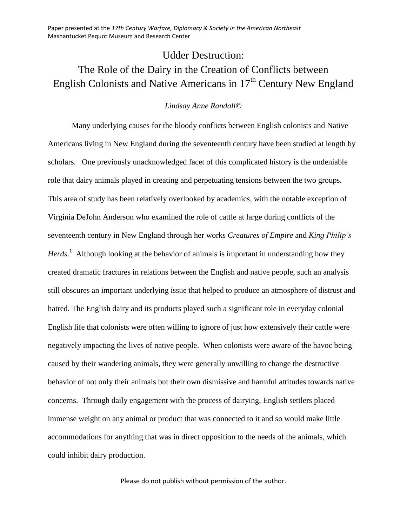Paper presented at the *17th Century Warfare, Diplomacy & Society in the American Northeast* Mashantucket Pequot Museum and Research Center

## Udder Destruction:

## The Role of the Dairy in the Creation of Conflicts between English Colonists and Native Americans in  $17<sup>th</sup>$  Century New England

## *Lindsay Anne Randall*©

Many underlying causes for the bloody conflicts between English colonists and Native Americans living in New England during the seventeenth century have been studied at length by scholars. One previously unacknowledged facet of this complicated history is the undeniable role that dairy animals played in creating and perpetuating tensions between the two groups. This area of study has been relatively overlooked by academics, with the notable exception of Virginia DeJohn Anderson who examined the role of cattle at large during conflicts of the seventeenth century in New England through her works *Creatures of Empire* and *King Philip's Herds*. <sup>1</sup> Although looking at the behavior of animals is important in understanding how they created dramatic fractures in relations between the English and native people, such an analysis still obscures an important underlying issue that helped to produce an atmosphere of distrust and hatred. The English dairy and its products played such a significant role in everyday colonial English life that colonists were often willing to ignore of just how extensively their cattle were negatively impacting the lives of native people. When colonists were aware of the havoc being caused by their wandering animals, they were generally unwilling to change the destructive behavior of not only their animals but their own dismissive and harmful attitudes towards native concerns. Through daily engagement with the process of dairying, English settlers placed immense weight on any animal or product that was connected to it and so would make little accommodations for anything that was in direct opposition to the needs of the animals, which could inhibit dairy production.

Please do not publish without permission of the author.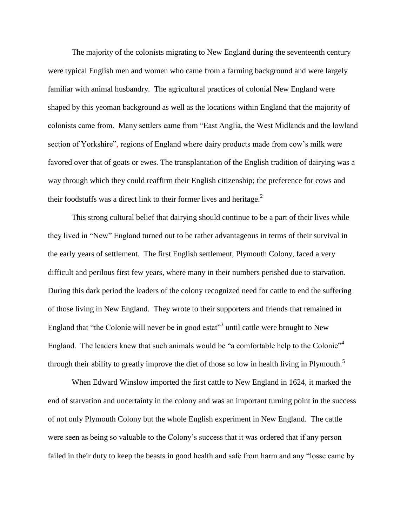The majority of the colonists migrating to New England during the seventeenth century were typical English men and women who came from a farming background and were largely familiar with animal husbandry. The agricultural practices of colonial New England were shaped by this yeoman background as well as the locations within England that the majority of colonists came from. Many settlers came from "East Anglia, the West Midlands and the lowland section of Yorkshire", regions of England where dairy products made from cow's milk were favored over that of goats or ewes. The transplantation of the English tradition of dairying was a way through which they could reaffirm their English citizenship; the preference for cows and their foodstuffs was a direct link to their former lives and heritage.<sup>2</sup>

This strong cultural belief that dairying should continue to be a part of their lives while they lived in "New" England turned out to be rather advantageous in terms of their survival in the early years of settlement. The first English settlement, Plymouth Colony, faced a very difficult and perilous first few years, where many in their numbers perished due to starvation. During this dark period the leaders of the colony recognized need for cattle to end the suffering of those living in New England. They wrote to their supporters and friends that remained in England that "the Colonie will never be in good estat"<sup>3</sup> until cattle were brought to New England. The leaders knew that such animals would be "a comfortable help to the Colonie"<sup>4</sup> through their ability to greatly improve the diet of those so low in health living in Plymouth.<sup>5</sup>

When Edward Winslow imported the first cattle to New England in 1624, it marked the end of starvation and uncertainty in the colony and was an important turning point in the success of not only Plymouth Colony but the whole English experiment in New England. The cattle were seen as being so valuable to the Colony's success that it was ordered that if any person failed in their duty to keep the beasts in good health and safe from harm and any "losse came by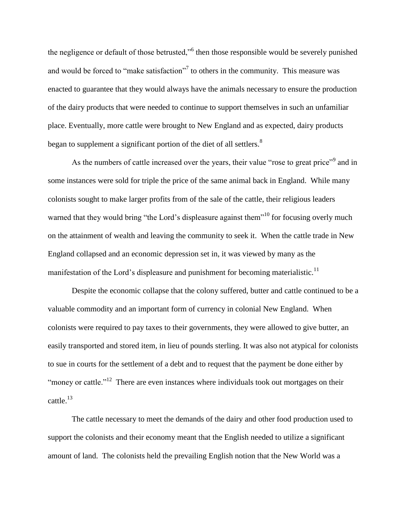the negligence or default of those betrusted,"<sup>6</sup> then those responsible would be severely punished and would be forced to "make satisfaction"<sup>7</sup> to others in the community. This measure was enacted to guarantee that they would always have the animals necessary to ensure the production of the dairy products that were needed to continue to support themselves in such an unfamiliar place. Eventually, more cattle were brought to New England and as expected, dairy products began to supplement a significant portion of the diet of all settlers.<sup>8</sup>

As the numbers of cattle increased over the years, their value "rose to great price"<sup>9</sup> and in some instances were sold for triple the price of the same animal back in England. While many colonists sought to make larger profits from of the sale of the cattle, their religious leaders warned that they would bring "the Lord's displeasure against them"<sup>10</sup> for focusing overly much on the attainment of wealth and leaving the community to seek it. When the cattle trade in New England collapsed and an economic depression set in, it was viewed by many as the manifestation of the Lord's displeasure and punishment for becoming materialistic.<sup>11</sup>

Despite the economic collapse that the colony suffered, butter and cattle continued to be a valuable commodity and an important form of currency in colonial New England. When colonists were required to pay taxes to their governments, they were allowed to give butter, an easily transported and stored item, in lieu of pounds sterling. It was also not atypical for colonists to sue in courts for the settlement of a debt and to request that the payment be done either by "money or cattle."<sup>12</sup> There are even instances where individuals took out mortgages on their cattle.<sup>13</sup>

The cattle necessary to meet the demands of the dairy and other food production used to support the colonists and their economy meant that the English needed to utilize a significant amount of land. The colonists held the prevailing English notion that the New World was a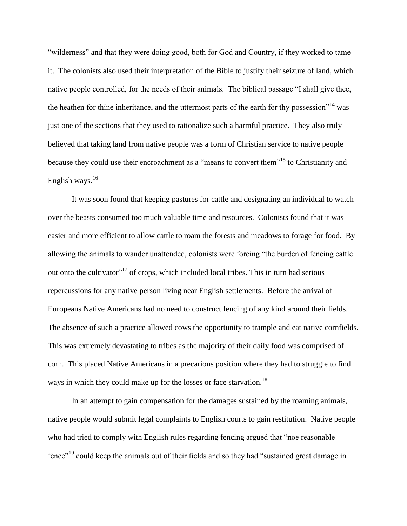"wilderness" and that they were doing good, both for God and Country, if they worked to tame it. The colonists also used their interpretation of the Bible to justify their seizure of land, which native people controlled, for the needs of their animals. The biblical passage "I shall give thee, the heathen for thine inheritance, and the uttermost parts of the earth for thy possession"<sup>14</sup> was just one of the sections that they used to rationalize such a harmful practice. They also truly believed that taking land from native people was a form of Christian service to native people because they could use their encroachment as a "means to convert them"<sup>15</sup> to Christianity and English ways.<sup>16</sup>

It was soon found that keeping pastures for cattle and designating an individual to watch over the beasts consumed too much valuable time and resources. Colonists found that it was easier and more efficient to allow cattle to roam the forests and meadows to forage for food. By allowing the animals to wander unattended, colonists were forcing "the burden of fencing cattle out onto the cultivator"<sup>17</sup> of crops, which included local tribes. This in turn had serious repercussions for any native person living near English settlements. Before the arrival of Europeans Native Americans had no need to construct fencing of any kind around their fields. The absence of such a practice allowed cows the opportunity to trample and eat native cornfields. This was extremely devastating to tribes as the majority of their daily food was comprised of corn. This placed Native Americans in a precarious position where they had to struggle to find ways in which they could make up for the losses or face starvation.<sup>18</sup>

In an attempt to gain compensation for the damages sustained by the roaming animals, native people would submit legal complaints to English courts to gain restitution. Native people who had tried to comply with English rules regarding fencing argued that "noe reasonable fence"<sup>19</sup> could keep the animals out of their fields and so they had "sustained great damage in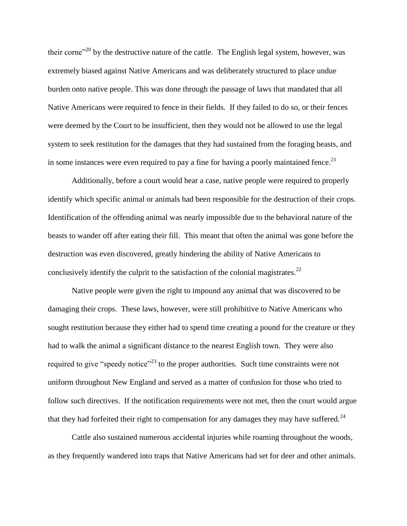their corne<sup> $20$ </sup> by the destructive nature of the cattle. The English legal system, however, was extremely biased against Native Americans and was deliberately structured to place undue burden onto native people. This was done through the passage of laws that mandated that all Native Americans were required to fence in their fields. If they failed to do so, or their fences were deemed by the Court to be insufficient, then they would not be allowed to use the legal system to seek restitution for the damages that they had sustained from the foraging beasts, and in some instances were even required to pay a fine for having a poorly maintained fence.<sup>21</sup>

Additionally, before a court would hear a case, native people were required to properly identify which specific animal or animals had been responsible for the destruction of their crops. Identification of the offending animal was nearly impossible due to the behavioral nature of the beasts to wander off after eating their fill. This meant that often the animal was gone before the destruction was even discovered, greatly hindering the ability of Native Americans to conclusively identify the culprit to the satisfaction of the colonial magistrates.<sup>22</sup>

Native people were given the right to impound any animal that was discovered to be damaging their crops. These laws, however, were still prohibitive to Native Americans who sought restitution because they either had to spend time creating a pound for the creature or they had to walk the animal a significant distance to the nearest English town. They were also required to give "speedy notice"<sup>23</sup> to the proper authorities. Such time constraints were not uniform throughout New England and served as a matter of confusion for those who tried to follow such directives. If the notification requirements were not met, then the court would argue that they had forfeited their right to compensation for any damages they may have suffered.<sup>24</sup>

Cattle also sustained numerous accidental injuries while roaming throughout the woods, as they frequently wandered into traps that Native Americans had set for deer and other animals.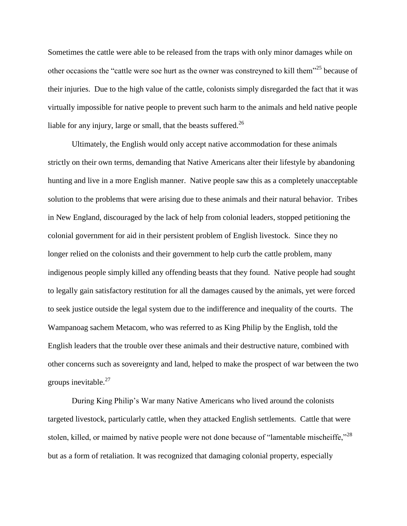Sometimes the cattle were able to be released from the traps with only minor damages while on other occasions the "cattle were soe hurt as the owner was constreyned to kill them"<sup>25</sup> because of their injuries. Due to the high value of the cattle, colonists simply disregarded the fact that it was virtually impossible for native people to prevent such harm to the animals and held native people liable for any injury, large or small, that the beasts suffered.<sup>26</sup>

Ultimately, the English would only accept native accommodation for these animals strictly on their own terms, demanding that Native Americans alter their lifestyle by abandoning hunting and live in a more English manner. Native people saw this as a completely unacceptable solution to the problems that were arising due to these animals and their natural behavior. Tribes in New England, discouraged by the lack of help from colonial leaders, stopped petitioning the colonial government for aid in their persistent problem of English livestock. Since they no longer relied on the colonists and their government to help curb the cattle problem, many indigenous people simply killed any offending beasts that they found. Native people had sought to legally gain satisfactory restitution for all the damages caused by the animals, yet were forced to seek justice outside the legal system due to the indifference and inequality of the courts. The Wampanoag sachem Metacom, who was referred to as King Philip by the English, told the English leaders that the trouble over these animals and their destructive nature, combined with other concerns such as sovereignty and land, helped to make the prospect of war between the two groups inevitable.<sup>27</sup>

During King Philip's War many Native Americans who lived around the colonists targeted livestock, particularly cattle, when they attacked English settlements. Cattle that were stolen, killed, or maimed by native people were not done because of "lamentable mischeiffe," $^{28}$ but as a form of retaliation. It was recognized that damaging colonial property, especially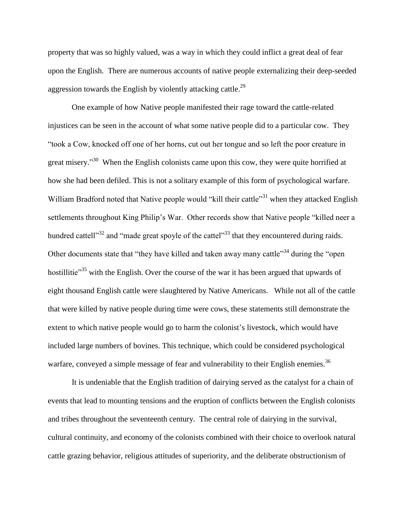property that was so highly valued, was a way in which they could inflict a great deal of fear upon the English. There are numerous accounts of native people externalizing their deep-seeded aggression towards the English by violently attacking cattle.<sup>29</sup>

One example of how Native people manifested their rage toward the cattle-related injustices can be seen in the account of what some native people did to a particular cow. They "took a Cow, knocked off one of her horns, cut out her tongue and so left the poor creature in great misery."<sup>30</sup> When the English colonists came upon this cow, they were quite horrified at how she had been defiled. This is not a solitary example of this form of psychological warfare. William Bradford noted that Native people would "kill their cattle"<sup>31</sup> when they attacked English settlements throughout King Philip's War. Other records show that Native people "killed neer a hundred cattell"<sup>32</sup> and "made great spoyle of the cattel"<sup>33</sup> that they encountered during raids. Other documents state that "they have killed and taken away many cattle"<sup>34</sup> during the "open" hostillitie<sup>35</sup> with the English. Over the course of the war it has been argued that upwards of eight thousand English cattle were slaughtered by Native Americans. While not all of the cattle that were killed by native people during time were cows, these statements still demonstrate the extent to which native people would go to harm the colonist's livestock, which would have included large numbers of bovines. This technique, which could be considered psychological warfare, conveyed a simple message of fear and vulnerability to their English enemies.<sup>36</sup>

It is undeniable that the English tradition of dairying served as the catalyst for a chain of events that lead to mounting tensions and the eruption of conflicts between the English colonists and tribes throughout the seventeenth century. The central role of dairying in the survival, cultural continuity, and economy of the colonists combined with their choice to overlook natural cattle grazing behavior, religious attitudes of superiority, and the deliberate obstructionism of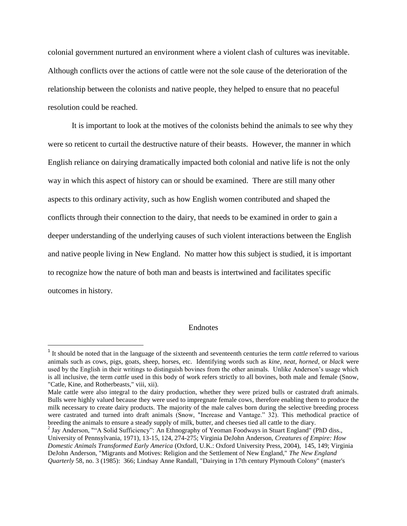colonial government nurtured an environment where a violent clash of cultures was inevitable. Although conflicts over the actions of cattle were not the sole cause of the deterioration of the relationship between the colonists and native people, they helped to ensure that no peaceful resolution could be reached.

It is important to look at the motives of the colonists behind the animals to see why they were so reticent to curtail the destructive nature of their beasts. However, the manner in which English reliance on dairying dramatically impacted both colonial and native life is not the only way in which this aspect of history can or should be examined. There are still many other aspects to this ordinary activity, such as how English women contributed and shaped the conflicts through their connection to the dairy, that needs to be examined in order to gain a deeper understanding of the underlying causes of such violent interactions between the English and native people living in New England. No matter how this subject is studied, it is important to recognize how the nature of both man and beasts is intertwined and facilitates specific outcomes in history.

## Endnotes

 $\overline{\phantom{a}}$ 

<sup>&</sup>lt;sup>1</sup> It should be noted that in the language of the sixteenth and seventeenth centuries the term *cattle* referred to various animals such as cows, pigs, goats, sheep, horses, etc. Identifying words such as *kine, neat, horned*, or *black* were used by the English in their writings to distinguish bovines from the other animals. Unlike Anderson's usage which is all inclusive, the term *cattle* used in this body of work refers strictly to all bovines, both male and female (Snow, "Catle, Kine, and Rotherbeasts," viii, xii).

Male cattle were also integral to the dairy production, whether they were prized bulls or castrated draft animals. Bulls were highly valued because they were used to impregnate female cows, therefore enabling them to produce the milk necessary to create dairy products. The majority of the male calves born during the selective breeding process were castrated and turned into draft animals (Snow, "Increase and Vantage." 32). This methodical practice of breeding the animals to ensure a steady supply of milk, butter, and cheeses tied all cattle to the diary.

<sup>&</sup>lt;sup>2</sup> Jay Anderson, ""A Solid Sufficiency": An Ethnography of Yeoman Foodways in Stuart England" (PhD diss., University of Pennsylvania, 1971), 13-15, 124, 274-275; Virginia DeJohn Anderson, *Creatures of Empire: How Domestic Animals Transformed Early America* (Oxford, U.K.: Oxford University Press, 2004), 145, 149; Virginia DeJohn Anderson, "Migrants and Motives: Religion and the Settlement of New England," *The New England Quarterly* 58, no. 3 (1985): 366; Lindsay Anne Randall, "Dairying in 17th century Plymouth Colony" (master's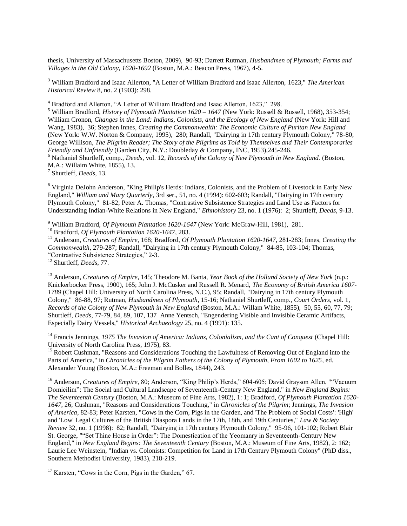thesis, University of Massachusetts Boston, 2009), 90-93; Darrett Rutman, *Husbandmen of Plymouth; Farms and Villages in the Old Colony, 1620-1692* (Boston, M.A.: Beacon Press, 1967), 4-5.

<sup>3</sup> William Bradford and Isaac Allerton, "A Letter of William Bradford and Isaac Allerton, 1623," *The American Historical Review* 8, no. 2 (1903): 298.

<sup>4</sup> Bradford and Allerton, "A Letter of William Bradford and Isaac Allerton, 1623," 298.

<sup>5</sup> William Bradford, *History of Plymouth Plantation 1620 – 1647* (New York: Russell & Russell, 1968), 353-354; William Cronon, *Changes in the Land: Indians, Colonists, and the Ecology of New England* (New York: Hill and Wang, 1983), 36; Stephen Innes, *Creating the Commonwealth: The Economic Culture of Puritan New England* (New York: W.W. Norton & Company, 1995), 280; Randall, "Dairying in 17th century Plymouth Colony," 78-80; George Willison, *The Pilgrim Reader; The Story of the Pilgrims as Told by Themselves and Their Contemporaries Friendly and Unfriendly* (Garden City, N.Y.: Doubleday & Company, INC, 1953),245-246.

<sup>6</sup> Nathaniel Shurtleff, comp., *Deeds*, vol. 12, *Records of the Colony of New Plymouth in New England.* (Boston, M.A.: Willaim White, 1855), 13.

7 Shurtleff, *Deeds*, 13.

 $\overline{\phantom{a}}$ 

<sup>8</sup> Virginia DeJohn Anderson, "King Philip's Herds: Indians, Colonists, and the Problem of Livestock in Early New England," *William and Mary Quarterly*, 3rd ser., 51, no. 4 (1994): 602-603; Randall, "Dairying in 17th century Plymouth Colony," 81-82; Peter A. Thomas, "Contrastive Subsistence Strategies and Land Use as Factors for Understanding Indian-White Relations in New England," *Ethnohistory* 23, no. 1 (1976): 2; Shurtleff, *Deeds*, 9-13.

<sup>9</sup> William Bradford, *Of Plymouth Plantation 1620-1647* (New York: McGraw-Hill, 1981), 281.

<sup>10</sup> Bradford, *Of Plymouth Plantation 1620-1647*, 283.

<sup>11</sup> Anderson, *Creatures of Empire,* 168; Bradford, *Of Plymouth Plantation 1620-1647,* 281-283; Innes*, Creating the Commonwealth*, 279-287; Randall, "Dairying in 17th century Plymouth Colony," 84-85, 103-104; Thomas, "Contrastive Subsistence Strategies," 2-3.

<sup>12</sup> Shurtleff, *Deeds*, 77.

<sup>13</sup> Anderson, *Creatures of Empire*, 145; Theodore M. Banta, *Year Book of the Holland Society of New York* (n.p.: Knickerbocker Press, 1900), 165; John J. McCusker and Russell R. Menard, *The Economy of British America 1607- 1789* (Chapel Hill: University of North Carolina Press, N.C.), 95; Randall, "Dairying in 17th century Plymouth Colony," 86-88, 97; Rutman, *Husbandmen of Plymouth*, 15-16; Nathaniel Shurtleff, comp., *Court Orders*, vol. 1, *Records of the Colony of New Plymouth in New England* (Boston, M.A.: Willam White, 1855), 50, 55, 60, 77, 79; Shurtleff, *Deeds*, 77-79, 84, 89, 107, 137 Anne Yentsch, "Engendering Visible and Invisible Ceramic Artifacts, Especially Dairy Vessels," *Historical Archaeology* 25, no. 4 (1991): 135.

<sup>14</sup> Francis Jennings, 1975 The Invasion of America: Indians, Colonialism, and the Cant of Conquest (Chapel Hill: University of North Carolina Press, 1975), 83.

<sup>15</sup> Robert Cushman, "Reasons and Considerations Touching the Lawfulness of Removing Out of England into the Parts of America," in *Chronicles of the Pilgrim Fathers of the Colony of Plymouth, From 1602 to 1625*, ed. Alexander Young (Boston, M.A.: Freeman and Bolles, 1844), 243.

<sup>16</sup> Anderson, *Creatures of Empire*, 80; Anderson, "King Philip's Herds," 604-605; David Grayson Allen, ""Vacuum Domicilim": The Social and Cultural Landscape of Seventeenth-Century New England," in *New England Begins: The Seventeenth Century* (Boston, M.A.: Museum of Fine Arts, 1982), 1: 1; Bradford, *Of Plymouth Plantation 1620- 1647*, 26; Cushman, "Reasons and Considerations Touching," in *Chronicles of the Pilgrim*; Jennings, *The Invasion of America*, 82-83; Peter Karsten, "Cows in the Corn, Pigs in the Garden, and 'The Problem of Social Costs': 'High' and 'Low' Legal Cultures of the British Diaspora Lands in the 17th, 18th, and 19th Centuries," *Law & Society Review* 32, no. 1 (1998): 82; Randall, "Dairying in 17th century Plymouth Colony," 95-96, 101-102; Robert Blair St. George, ""Set Thine House in Order": The Domestication of the Yeomanry in Seventeenth-Century New England," in *New England Begins: The Seventeenth Century* (Boston, M.A.: Museum of Fine Arts, 1982), 2: 162; Laurie Lee Weinstein, "Indian vs. Colonists: Competition for Land in 17th Century Plymouth Colony" (PhD diss., Southern Methodist University, 1983), 218-219.

<sup>17</sup> Karsten, "Cows in the Corn, Pigs in the Garden," 67.